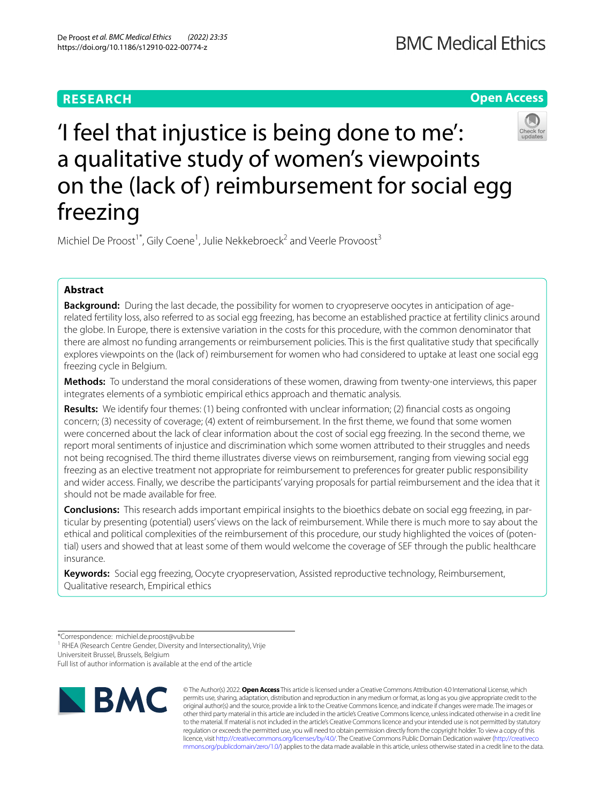# **RESEARCH**

**Open Access**



# 'I feel that injustice is being done to me': a qualitative study of women's viewpoints on the (lack of) reimbursement for social egg freezing

Michiel De Proost<sup>1\*</sup>, Gily Coene<sup>1</sup>, Julie Nekkebroeck<sup>2</sup> and Veerle Provoost<sup>3</sup>

# **Abstract**

**Background:** During the last decade, the possibility for women to cryopreserve oocytes in anticipation of agerelated fertility loss, also referred to as social egg freezing, has become an established practice at fertility clinics around the globe. In Europe, there is extensive variation in the costs for this procedure, with the common denominator that there are almost no funding arrangements or reimbursement policies. This is the frst qualitative study that specifcally explores viewpoints on the (lack of) reimbursement for women who had considered to uptake at least one social egg freezing cycle in Belgium.

**Methods:** To understand the moral considerations of these women, drawing from twenty-one interviews, this paper integrates elements of a symbiotic empirical ethics approach and thematic analysis.

**Results:** We identify four themes: (1) being confronted with unclear information; (2) financial costs as ongoing concern; (3) necessity of coverage; (4) extent of reimbursement. In the frst theme, we found that some women were concerned about the lack of clear information about the cost of social egg freezing. In the second theme, we report moral sentiments of injustice and discrimination which some women attributed to their struggles and needs not being recognised. The third theme illustrates diverse views on reimbursement, ranging from viewing social egg freezing as an elective treatment not appropriate for reimbursement to preferences for greater public responsibility and wider access. Finally, we describe the participants' varying proposals for partial reimbursement and the idea that it should not be made available for free.

**Conclusions:** This research adds important empirical insights to the bioethics debate on social egg freezing, in particular by presenting (potential) users' views on the lack of reimbursement. While there is much more to say about the ethical and political complexities of the reimbursement of this procedure, our study highlighted the voices of (potential) users and showed that at least some of them would welcome the coverage of SEF through the public healthcare insurance.

**Keywords:** Social egg freezing, Oocyte cryopreservation, Assisted reproductive technology, Reimbursement, Qualitative research, Empirical ethics

<sup>1</sup> RHEA (Research Centre Gender, Diversity and Intersectionality), Vrije

Universiteit Brussel, Brussels, Belgium

Full list of author information is available at the end of the article



© The Author(s) 2022. **Open Access** This article is licensed under a Creative Commons Attribution 4.0 International License, which permits use, sharing, adaptation, distribution and reproduction in any medium or format, as long as you give appropriate credit to the original author(s) and the source, provide a link to the Creative Commons licence, and indicate if changes were made. The images or other third party material in this article are included in the article's Creative Commons licence, unless indicated otherwise in a credit line to the material. If material is not included in the article's Creative Commons licence and your intended use is not permitted by statutory regulation or exceeds the permitted use, you will need to obtain permission directly from the copyright holder. To view a copy of this licence, visit [http://creativecommons.org/licenses/by/4.0/.](http://creativecommons.org/licenses/by/4.0/) The Creative Commons Public Domain Dedication waiver ([http://creativeco](http://creativecommons.org/publicdomain/zero/1.0/) [mmons.org/publicdomain/zero/1.0/](http://creativecommons.org/publicdomain/zero/1.0/)) applies to the data made available in this article, unless otherwise stated in a credit line to the data.

<sup>\*</sup>Correspondence: michiel.de.proost@vub.be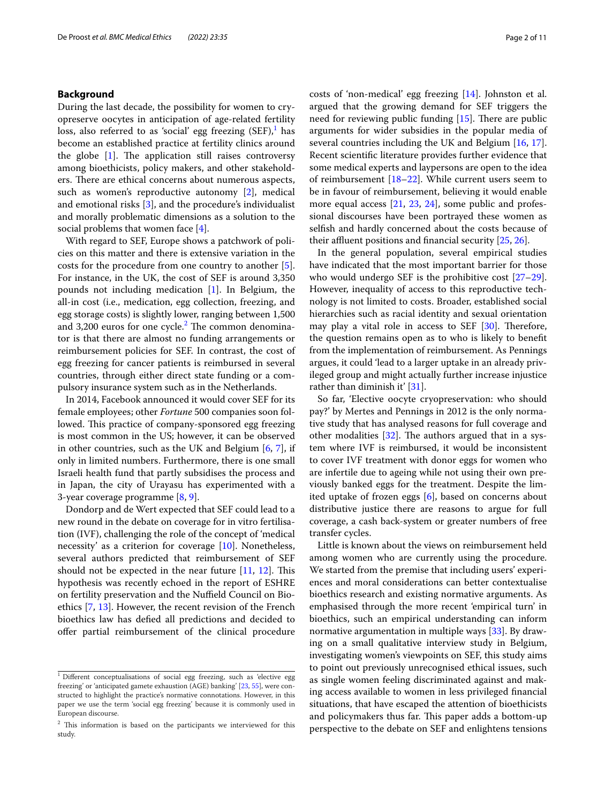# **Background**

During the last decade, the possibility for women to cryopreserve oocytes in anticipation of age-related fertility loss, also referred to as 'social' egg freezing  $(SEF)^1$  has become an established practice at fertility clinics around the globe  $[1]$ . The application still raises controversy among bioethicists, policy makers, and other stakeholders. There are ethical concerns about numerous aspects, such as women's reproductive autonomy [[2\]](#page-9-1), medical and emotional risks [[3](#page-9-2)], and the procedure's individualist and morally problematic dimensions as a solution to the social problems that women face [[4\]](#page-9-3).

With regard to SEF, Europe shows a patchwork of policies on this matter and there is extensive variation in the costs for the procedure from one country to another [\[5](#page-9-4)]. For instance, in the UK, the cost of SEF is around 3,350 pounds not including medication [[1\]](#page-9-0). In Belgium, the all-in cost (i.e., medication, egg collection, freezing, and egg storage costs) is slightly lower, ranging between 1,500 and 3,200 euros for one cycle.<sup>2</sup> The common denominator is that there are almost no funding arrangements or reimbursement policies for SEF. In contrast, the cost of egg freezing for cancer patients is reimbursed in several countries, through either direct state funding or a compulsory insurance system such as in the Netherlands.

In 2014, Facebook announced it would cover SEF for its female employees; other *Fortune* 500 companies soon followed. This practice of company-sponsored egg freezing is most common in the US; however, it can be observed in other countries, such as the UK and Belgium [\[6](#page-9-5), [7\]](#page-9-6), if only in limited numbers. Furthermore, there is one small Israeli health fund that partly subsidises the process and in Japan, the city of Urayasu has experimented with a 3-year coverage programme [[8,](#page-9-7) [9](#page-9-8)].

Dondorp and de Wert expected that SEF could lead to a new round in the debate on coverage for in vitro fertilisation (IVF), challenging the role of the concept of 'medical necessity' as a criterion for coverage [[10](#page-9-9)]. Nonetheless, several authors predicted that reimbursement of SEF should not be expected in the near future  $[11, 12]$  $[11, 12]$  $[11, 12]$  $[11, 12]$ . This hypothesis was recently echoed in the report of ESHRE on fertility preservation and the Nuffield Council on Bioethics [[7,](#page-9-6) [13](#page-9-12)]. However, the recent revision of the French bioethics law has defed all predictions and decided to offer partial reimbursement of the clinical procedure costs of 'non-medical' egg freezing [\[14](#page-9-13)]. Johnston et al. argued that the growing demand for SEF triggers the need for reviewing public funding  $[15]$  $[15]$ . There are public arguments for wider subsidies in the popular media of several countries including the UK and Belgium [\[16](#page-9-15), [17](#page-9-16)]. Recent scientifc literature provides further evidence that some medical experts and laypersons are open to the idea of reimbursement  $[18–22]$  $[18–22]$ . While current users seem to be in favour of reimbursement, believing it would enable more equal access [\[21](#page-10-2), [23,](#page-10-3) [24](#page-10-4)], some public and professional discourses have been portrayed these women as selfsh and hardly concerned about the costs because of their affluent positions and financial security  $[25, 26]$  $[25, 26]$  $[25, 26]$ .

In the general population, several empirical studies have indicated that the most important barrier for those who would undergo SEF is the prohibitive cost [[27](#page-10-7)[–29](#page-10-8)]. However, inequality of access to this reproductive technology is not limited to costs. Broader, established social hierarchies such as racial identity and sexual orientation may play a vital role in access to SEF  $[30]$  $[30]$ . Therefore, the question remains open as to who is likely to beneft from the implementation of reimbursement. As Pennings argues, it could 'lead to a larger uptake in an already privileged group and might actually further increase injustice rather than diminish it' [[31](#page-10-10)].

So far, 'Elective oocyte cryopreservation: who should pay?' by Mertes and Pennings in 2012 is the only normative study that has analysed reasons for full coverage and other modalities  $[32]$  $[32]$  $[32]$ . The authors argued that in a system where IVF is reimbursed, it would be inconsistent to cover IVF treatment with donor eggs for women who are infertile due to ageing while not using their own previously banked eggs for the treatment. Despite the limited uptake of frozen eggs [\[6](#page-9-5)], based on concerns about distributive justice there are reasons to argue for full coverage, a cash back-system or greater numbers of free transfer cycles.

Little is known about the views on reimbursement held among women who are currently using the procedure. We started from the premise that including users' experiences and moral considerations can better contextualise bioethics research and existing normative arguments. As emphasised through the more recent 'empirical turn' in bioethics, such an empirical understanding can inform normative argumentation in multiple ways [\[33](#page-10-12)]. By drawing on a small qualitative interview study in Belgium, investigating women's viewpoints on SEF, this study aims to point out previously unrecognised ethical issues, such as single women feeling discriminated against and making access available to women in less privileged fnancial situations, that have escaped the attention of bioethicists and policymakers thus far. This paper adds a bottom-up <sup>2</sup> This information is based on the participants we interviewed for this **perspective to the debate on SEF and enlightens tensions** 

<span id="page-1-0"></span> $1$  Different conceptualisations of social egg freezing, such as 'elective egg freezing' or 'anticipated gamete exhaustion (AGE) banking' [\[23,](#page-10-3) [55](#page-10-13)], were constructed to highlight the practice's normative connotations. However, in this paper we use the term 'social egg freezing' because it is commonly used in European discourse.

<span id="page-1-1"></span>study.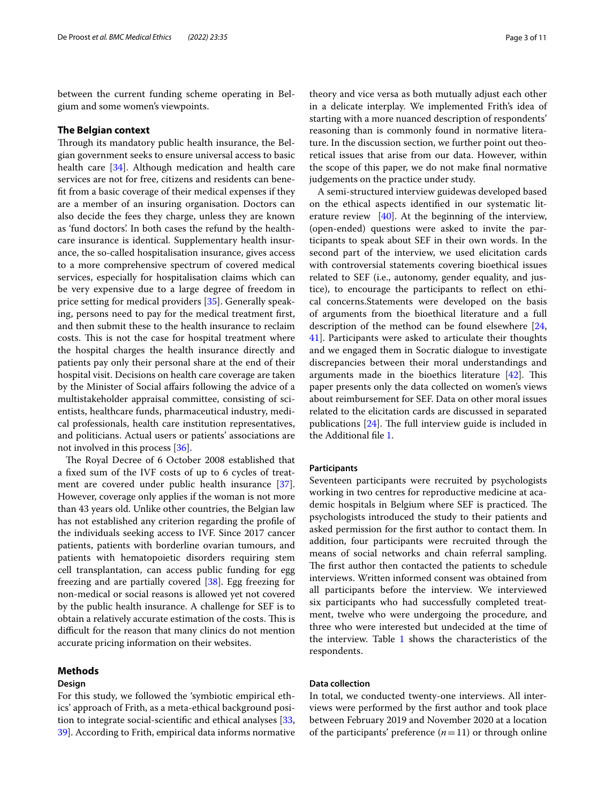between the current funding scheme operating in Belgium and some women's viewpoints.

#### **The Belgian context**

Through its mandatory public health insurance, the Belgian government seeks to ensure universal access to basic health care [\[34\]](#page-10-14). Although medication and health care services are not for free, citizens and residents can beneft from a basic coverage of their medical expenses if they are a member of an insuring organisation. Doctors can also decide the fees they charge, unless they are known as 'fund doctors'. In both cases the refund by the healthcare insurance is identical. Supplementary health insurance, the so-called hospitalisation insurance, gives access to a more comprehensive spectrum of covered medical services, especially for hospitalisation claims which can be very expensive due to a large degree of freedom in price setting for medical providers [[35\]](#page-10-15). Generally speaking, persons need to pay for the medical treatment frst, and then submit these to the health insurance to reclaim costs. This is not the case for hospital treatment where the hospital charges the health insurance directly and patients pay only their personal share at the end of their hospital visit. Decisions on health care coverage are taken by the Minister of Social afairs following the advice of a multistakeholder appraisal committee, consisting of scientists, healthcare funds, pharmaceutical industry, medical professionals, health care institution representatives, and politicians. Actual users or patients' associations are not involved in this process [[36\]](#page-10-16).

The Royal Decree of 6 October 2008 established that a fxed sum of the IVF costs of up to 6 cycles of treatment are covered under public health insurance [\[37](#page-10-17)]. However, coverage only applies if the woman is not more than 43 years old. Unlike other countries, the Belgian law has not established any criterion regarding the profle of the individuals seeking access to IVF. Since 2017 cancer patients, patients with borderline ovarian tumours, and patients with hematopoietic disorders requiring stem cell transplantation, can access public funding for egg freezing and are partially covered [[38](#page-10-18)]. Egg freezing for non-medical or social reasons is allowed yet not covered by the public health insurance. A challenge for SEF is to obtain a relatively accurate estimation of the costs. This is difficult for the reason that many clinics do not mention accurate pricing information on their websites.

# **Methods**

# **Design**

For this study, we followed the 'symbiotic empirical ethics' approach of Frith, as a meta-ethical background position to integrate social-scientifc and ethical analyses [\[33](#page-10-12), [39\]](#page-10-19). According to Frith, empirical data informs normative theory and vice versa as both mutually adjust each other in a delicate interplay. We implemented Frith's idea of starting with a more nuanced description of respondents' reasoning than is commonly found in normative literature. In the discussion section, we further point out theoretical issues that arise from our data. However, within the scope of this paper, we do not make fnal normative judgements on the practice under study.

A semi-structured interview guidewas developed based on the ethical aspects identifed in our systematic literature review [[40](#page-10-20)]. At the beginning of the interview, (open-ended) questions were asked to invite the participants to speak about SEF in their own words. In the second part of the interview, we used elicitation cards with controversial statements covering bioethical issues related to SEF (i.e., autonomy, gender equality, and justice), to encourage the participants to refect on ethical concerns.Statements were developed on the basis of arguments from the bioethical literature and a full description of the method can be found elsewhere [[24](#page-10-4), [41\]](#page-10-21). Participants were asked to articulate their thoughts and we engaged them in Socratic dialogue to investigate discrepancies between their moral understandings and arguments made in the bioethics literature  $[42]$  $[42]$ . This paper presents only the data collected on women's views about reimbursement for SEF. Data on other moral issues related to the elicitation cards are discussed in separated publications  $[24]$  $[24]$ . The full interview guide is included in the Additional fle [1.](#page-9-17)

### **Participants**

Seventeen participants were recruited by psychologists working in two centres for reproductive medicine at academic hospitals in Belgium where SEF is practiced. The psychologists introduced the study to their patients and asked permission for the frst author to contact them. In addition, four participants were recruited through the means of social networks and chain referral sampling. The first author then contacted the patients to schedule interviews. Written informed consent was obtained from all participants before the interview. We interviewed six participants who had successfully completed treatment, twelve who were undergoing the procedure, and three who were interested but undecided at the time of the interview. Table [1](#page-3-0) shows the characteristics of the respondents.

# **Data collection**

In total, we conducted twenty-one interviews. All interviews were performed by the frst author and took place between February 2019 and November 2020 at a location of the participants' preference  $(n=11)$  or through online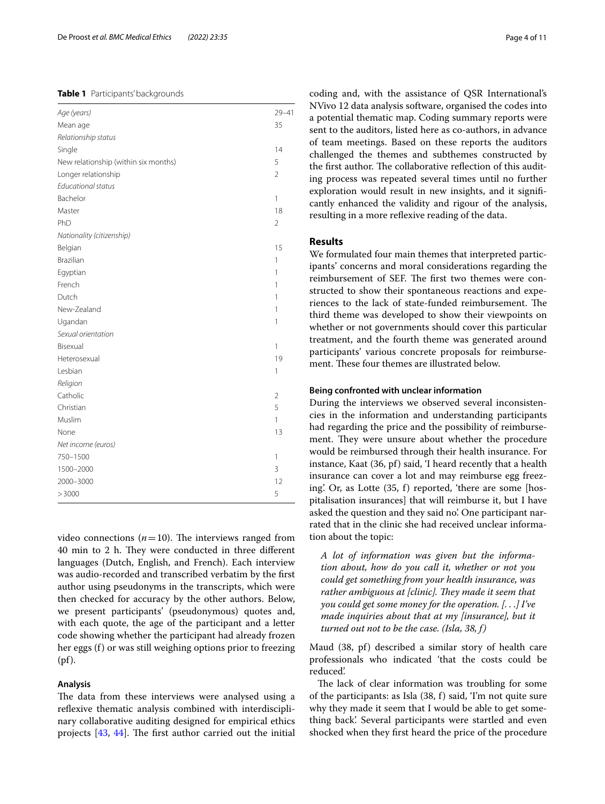#### <span id="page-3-0"></span>**Table 1** Participants' backgrounds

| Age (years)                          | $29 - 41$      |
|--------------------------------------|----------------|
| Mean age                             | 35             |
| Relationship status                  |                |
| Single                               | 14             |
| New relationship (within six months) | 5              |
| Longer relationship                  | $\overline{2}$ |
| Educational status                   |                |
| Bachelor                             | 1              |
| Master                               | 18             |
| PhD                                  | $\overline{2}$ |
| Nationality (citizenship)            |                |
| Belgian                              | 15             |
| <b>Brazilian</b>                     | 1              |
| Egyptian                             | 1              |
| French                               | 1              |
| Dutch                                | 1              |
| New-Zealand                          | 1              |
| Ugandan                              | 1              |
| Sexual orientation                   |                |
| Bisexual                             | 1              |
| Heterosexual                         | 19             |
| Lesbian                              | 1              |
| Religion                             |                |
| Catholic                             | $\overline{2}$ |
| Christian                            | 5              |
| Muslim                               | 1              |
| None                                 | 13             |
| Net income (euros)                   |                |
| 750-1500                             | 1              |
| 1500-2000                            | 3              |
| 2000-3000                            | 12             |
| >3000                                | 5              |
|                                      |                |

video connections  $(n=10)$ . The interviews ranged from 40 min to 2 h. They were conducted in three different languages (Dutch, English, and French). Each interview was audio-recorded and transcribed verbatim by the frst author using pseudonyms in the transcripts, which were then checked for accuracy by the other authors. Below, we present participants' (pseudonymous) quotes and, with each quote, the age of the participant and a letter code showing whether the participant had already frozen her eggs (f) or was still weighing options prior to freezing (pf).

#### **Analysis**

The data from these interviews were analysed using a reflexive thematic analysis combined with interdisciplinary collaborative auditing designed for empirical ethics projects  $[43, 44]$  $[43, 44]$  $[43, 44]$ . The first author carried out the initial

coding and, with the assistance of QSR International's NVivo 12 data analysis software, organised the codes into a potential thematic map. Coding summary reports were sent to the auditors, listed here as co-authors, in advance of team meetings. Based on these reports the auditors challenged the themes and subthemes constructed by the first author. The collaborative reflection of this auditing process was repeated several times until no further exploration would result in new insights, and it signifcantly enhanced the validity and rigour of the analysis, resulting in a more refexive reading of the data.

# **Results**

We formulated four main themes that interpreted participants' concerns and moral considerations regarding the reimbursement of SEF. The first two themes were constructed to show their spontaneous reactions and experiences to the lack of state-funded reimbursement. The third theme was developed to show their viewpoints on whether or not governments should cover this particular treatment, and the fourth theme was generated around participants' various concrete proposals for reimbursement. These four themes are illustrated below.

#### **Being confronted with unclear information**

During the interviews we observed several inconsistencies in the information and understanding participants had regarding the price and the possibility of reimbursement. They were unsure about whether the procedure would be reimbursed through their health insurance. For instance, Kaat (36, pf) said, 'I heard recently that a health insurance can cover a lot and may reimburse egg freezing'. Or, as Lotte (35, f) reported, 'there are some [hospitalisation insurances] that will reimburse it, but I have asked the question and they said no'. One participant narrated that in the clinic she had received unclear information about the topic:

*A lot of information was given but the information about, how do you call it, whether or not you could get something from your health insurance, was rather ambiguous at [clinic]. They made it seem that you could get some money for the operation. [. . .] I've made inquiries about that at my [insurance], but it turned out not to be the case. (Isla, 38, f)*

Maud (38, pf) described a similar story of health care professionals who indicated 'that the costs could be reduced'.

The lack of clear information was troubling for some of the participants: as Isla (38, f) said, 'I'm not quite sure why they made it seem that I would be able to get something back'. Several participants were startled and even shocked when they frst heard the price of the procedure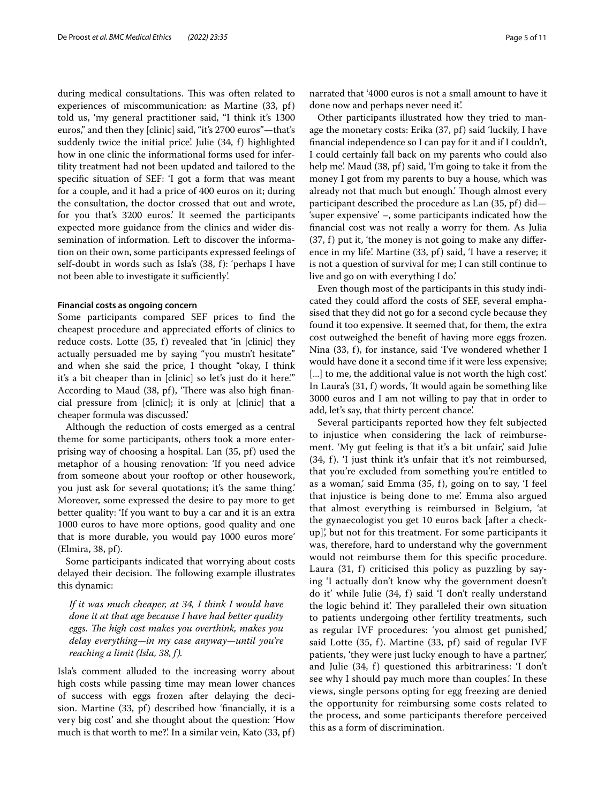during medical consultations. This was often related to experiences of miscommunication: as Martine (33, pf) told us, 'my general practitioner said, "I think it's 1300 euros," and then they [clinic] said, "it's 2700 euros"—that's suddenly twice the initial price'. Julie (34, f) highlighted how in one clinic the informational forms used for infertility treatment had not been updated and tailored to the specifc situation of SEF: 'I got a form that was meant for a couple, and it had a price of 400 euros on it; during the consultation, the doctor crossed that out and wrote, for you that's 3200 euros.' It seemed the participants expected more guidance from the clinics and wider dissemination of information. Left to discover the information on their own, some participants expressed feelings of self-doubt in words such as Isla's (38, f): 'perhaps I have not been able to investigate it sufficiently'.

#### **Financial costs as ongoing concern**

Some participants compared SEF prices to fnd the cheapest procedure and appreciated efforts of clinics to reduce costs. Lotte (35, f) revealed that 'in [clinic] they actually persuaded me by saying "you mustn't hesitate" and when she said the price, I thought "okay, I think it's a bit cheaper than in [clinic] so let's just do it here."' According to Maud (38, pf), 'There was also high financial pressure from [clinic]; it is only at [clinic] that a cheaper formula was discussed.'

Although the reduction of costs emerged as a central theme for some participants, others took a more enterprising way of choosing a hospital. Lan (35, pf) used the metaphor of a housing renovation: 'If you need advice from someone about your rooftop or other housework, you just ask for several quotations; it's the same thing.' Moreover, some expressed the desire to pay more to get better quality: 'If you want to buy a car and it is an extra 1000 euros to have more options, good quality and one that is more durable, you would pay 1000 euros more' (Elmira, 38, pf).

Some participants indicated that worrying about costs delayed their decision. The following example illustrates this dynamic:

*If it was much cheaper, at 34, I think I would have done it at that age because I have had better quality*  eggs. The high cost makes you overthink, makes you *delay everything—in my case anyway—until you're reaching a limit (Isla, 38, f).*

Isla's comment alluded to the increasing worry about high costs while passing time may mean lower chances of success with eggs frozen after delaying the decision. Martine (33, pf) described how 'fnancially, it is a very big cost' and she thought about the question: 'How much is that worth to me?'. In a similar vein, Kato (33, pf)

narrated that '4000 euros is not a small amount to have it done now and perhaps never need it'.

Other participants illustrated how they tried to manage the monetary costs: Erika (37, pf) said 'luckily, I have fnancial independence so I can pay for it and if I couldn't, I could certainly fall back on my parents who could also help me'. Maud (38, pf) said, 'I'm going to take it from the money I got from my parents to buy a house, which was already not that much but enough.' Though almost every participant described the procedure as Lan (35, pf) did— 'super expensive' –, some participants indicated how the fnancial cost was not really a worry for them. As Julia (37, f) put it, 'the money is not going to make any diference in my life'. Martine (33, pf) said, 'I have a reserve; it is not a question of survival for me; I can still continue to live and go on with everything I do.'

Even though most of the participants in this study indicated they could aford the costs of SEF, several emphasised that they did not go for a second cycle because they found it too expensive. It seemed that, for them, the extra cost outweighed the beneft of having more eggs frozen. Nina (33, f), for instance, said 'I've wondered whether I would have done it a second time if it were less expensive; [...] to me, the additional value is not worth the high cost. In Laura's (31, f) words, 'It would again be something like 3000 euros and I am not willing to pay that in order to add, let's say, that thirty percent chance'.

Several participants reported how they felt subjected to injustice when considering the lack of reimbursement. 'My gut feeling is that it's a bit unfair,' said Julie  $(34, f)$ . 'I just think it's unfair that it's not reimbursed, that you're excluded from something you're entitled to as a woman,' said Emma (35, f), going on to say, 'I feel that injustice is being done to me'. Emma also argued that almost everything is reimbursed in Belgium, 'at the gynaecologist you get 10 euros back [after a checkup]', but not for this treatment. For some participants it was, therefore, hard to understand why the government would not reimburse them for this specifc procedure. Laura  $(31, f)$  criticised this policy as puzzling by saying 'I actually don't know why the government doesn't do it' while Julie (34, f) said 'I don't really understand the logic behind it'. They paralleled their own situation to patients undergoing other fertility treatments, such as regular IVF procedures: 'you almost get punished,' said Lotte  $(35, f)$ . Martine  $(33, pf)$  said of regular IVF patients, 'they were just lucky enough to have a partner,' and Julie  $(34, f)$  questioned this arbitrariness: 'I don't see why I should pay much more than couples.' In these views, single persons opting for egg freezing are denied the opportunity for reimbursing some costs related to the process, and some participants therefore perceived this as a form of discrimination.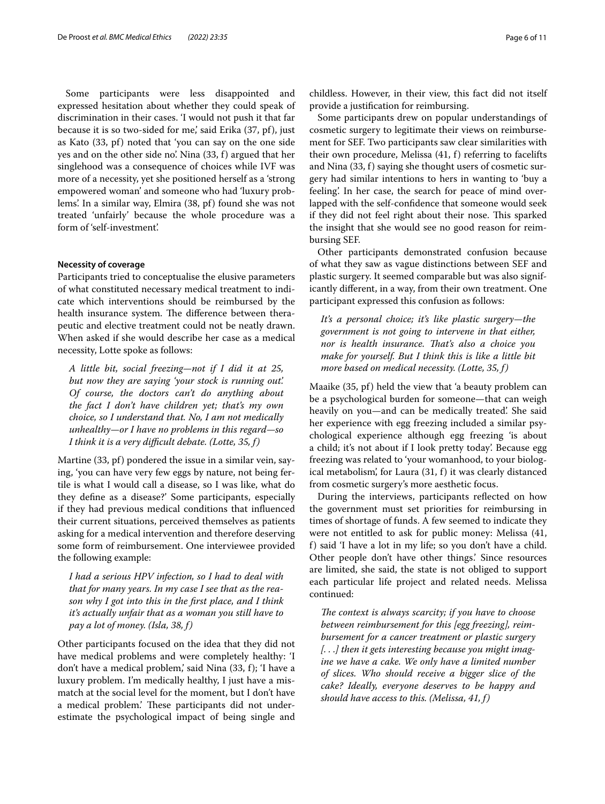Some participants were less disappointed and expressed hesitation about whether they could speak of discrimination in their cases. 'I would not push it that far because it is so two-sided for me, said Erika (37, pf), just as Kato (33, pf) noted that 'you can say on the one side yes and on the other side no'. Nina (33, f) argued that her singlehood was a consequence of choices while IVF was more of a necessity, yet she positioned herself as a 'strong empowered woman' and someone who had 'luxury problems'. In a similar way, Elmira (38, pf) found she was not treated 'unfairly' because the whole procedure was a form of 'self-investment'.

# **Necessity of coverage**

Participants tried to conceptualise the elusive parameters of what constituted necessary medical treatment to indicate which interventions should be reimbursed by the health insurance system. The difference between therapeutic and elective treatment could not be neatly drawn. When asked if she would describe her case as a medical necessity, Lotte spoke as follows:

*A little bit, social freezing—not if I did it at 25, but now they are saying 'your stock is running out'. Of course, the doctors can't do anything about the fact I don't have children yet; that's my own choice, so I understand that. No, I am not medically unhealthy—or I have no problems in this regard—so I think it is a very difcult debate. (Lotte, 35, f)*

Martine (33, pf) pondered the issue in a similar vein, saying, 'you can have very few eggs by nature, not being fertile is what I would call a disease, so I was like, what do they defne as a disease?' Some participants, especially if they had previous medical conditions that infuenced their current situations, perceived themselves as patients asking for a medical intervention and therefore deserving some form of reimbursement. One interviewee provided the following example:

*I had a serious HPV infection, so I had to deal with that for many years. In my case I see that as the reason why I got into this in the frst place, and I think it's actually unfair that as a woman you still have to pay a lot of money. (Isla, 38, f)*

Other participants focused on the idea that they did not have medical problems and were completely healthy: 'I don't have a medical problem,' said Nina (33, f); 'I have a luxury problem. I'm medically healthy, I just have a mismatch at the social level for the moment, but I don't have a medical problem.' These participants did not underestimate the psychological impact of being single and childless. However, in their view, this fact did not itself provide a justifcation for reimbursing.

Some participants drew on popular understandings of cosmetic surgery to legitimate their views on reimbursement for SEF. Two participants saw clear similarities with their own procedure, Melissa (41, f) referring to facelifts and Nina (33, f) saying she thought users of cosmetic surgery had similar intentions to hers in wanting to 'buy a feeling'. In her case, the search for peace of mind overlapped with the self-confdence that someone would seek if they did not feel right about their nose. This sparked the insight that she would see no good reason for reimbursing SEF.

Other participants demonstrated confusion because of what they saw as vague distinctions between SEF and plastic surgery. It seemed comparable but was also significantly diferent, in a way, from their own treatment. One participant expressed this confusion as follows:

*It's a personal choice; it's like plastic surgery—the government is not going to intervene in that either, nor is health insurance. Tat's also a choice you make for yourself. But I think this is like a little bit more based on medical necessity. (Lotte, 35, f)*

Maaike (35, pf) held the view that 'a beauty problem can be a psychological burden for someone—that can weigh heavily on you—and can be medically treated'. She said her experience with egg freezing included a similar psychological experience although egg freezing 'is about a child; it's not about if I look pretty today'. Because egg freezing was related to 'your womanhood, to your biological metabolism', for Laura (31, f) it was clearly distanced from cosmetic surgery's more aesthetic focus.

During the interviews, participants refected on how the government must set priorities for reimbursing in times of shortage of funds. A few seemed to indicate they were not entitled to ask for public money: Melissa (41, f) said 'I have a lot in my life; so you don't have a child. Other people don't have other things.' Since resources are limited, she said, the state is not obliged to support each particular life project and related needs. Melissa continued:

*The context is always scarcity; if you have to choose between reimbursement for this [egg freezing], reimbursement for a cancer treatment or plastic surgery [. . .] then it gets interesting because you might imagine we have a cake. We only have a limited number of slices. Who should receive a bigger slice of the cake? Ideally, everyone deserves to be happy and should have access to this. (Melissa, 41, f)*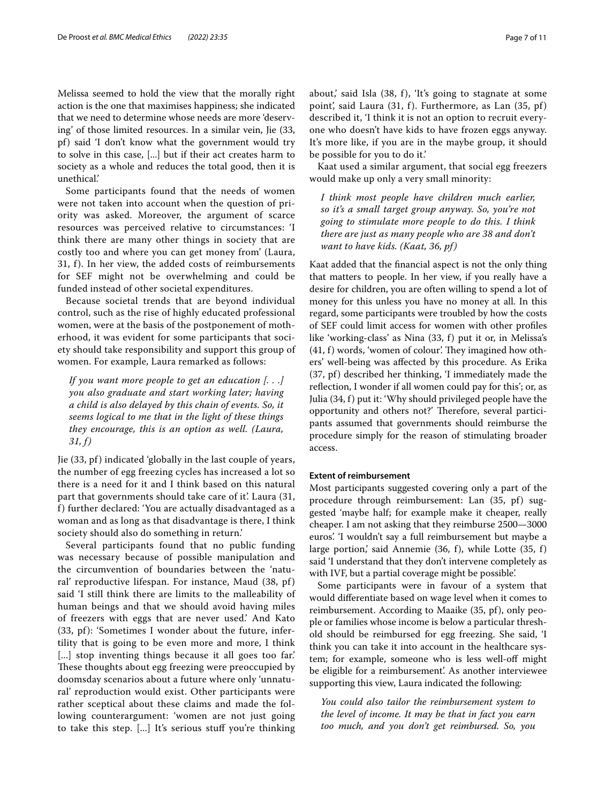Melissa seemed to hold the view that the morally right action is the one that maximises happiness; she indicated that we need to determine whose needs are more 'deserving' of those limited resources. In a similar vein, Jie (33, pf) said 'I don't know what the government would try to solve in this case, [...] but if their act creates harm to society as a whole and reduces the total good, then it is unethical.'

Some participants found that the needs of women were not taken into account when the question of priority was asked. Moreover, the argument of scarce resources was perceived relative to circumstances: 'I think there are many other things in society that are costly too and where you can get money from' (Laura, 31, f). In her view, the added costs of reimbursements for SEF might not be overwhelming and could be funded instead of other societal expenditures.

Because societal trends that are beyond individual control, such as the rise of highly educated professional women, were at the basis of the postponement of motherhood, it was evident for some participants that society should take responsibility and support this group of women. For example, Laura remarked as follows:

*If you want more people to get an education [. . .] you also graduate and start working later; having a child is also delayed by this chain of events. So, it seems logical to me that in the light of these things they encourage, this is an option as well. (Laura, 31, f)*

Jie (33, pf) indicated 'globally in the last couple of years, the number of egg freezing cycles has increased a lot so there is a need for it and I think based on this natural part that governments should take care of it'. Laura (31, f) further declared: 'You are actually disadvantaged as a woman and as long as that disadvantage is there, I think society should also do something in return.'

Several participants found that no public funding was necessary because of possible manipulation and the circumvention of boundaries between the 'natural' reproductive lifespan. For instance, Maud (38, pf ) said 'I still think there are limits to the malleability of human beings and that we should avoid having miles of freezers with eggs that are never used.' And Kato (33, pf): 'Sometimes I wonder about the future, infertility that is going to be even more and more, I think [...] stop inventing things because it all goes too far. These thoughts about egg freezing were preoccupied by doomsday scenarios about a future where only 'unnatural' reproduction would exist. Other participants were rather sceptical about these claims and made the following counterargument: 'women are not just going to take this step. [...] It's serious stuf you're thinking about,' said Isla (38, f), 'It's going to stagnate at some point', said Laura  $(31, f)$ . Furthermore, as Lan  $(35, pf)$ described it, 'I think it is not an option to recruit everyone who doesn't have kids to have frozen eggs anyway. It's more like, if you are in the maybe group, it should be possible for you to do it.'

Kaat used a similar argument, that social egg freezers would make up only a very small minority:

*I think most people have children much earlier, so it's a small target group anyway. So, you're not going to stimulate more people to do this. I think there are just as many people who are 38 and don't want to have kids. (Kaat, 36, pf)*

Kaat added that the fnancial aspect is not the only thing that matters to people. In her view, if you really have a desire for children, you are often willing to spend a lot of money for this unless you have no money at all. In this regard, some participants were troubled by how the costs of SEF could limit access for women with other profles like 'working-class' as Nina (33, f) put it or, in Melissa's  $(41, f)$  words, 'women of colour'. They imagined how others' well-being was afected by this procedure. As Erika (37, pf) described her thinking, 'I immediately made the refection, I wonder if all women could pay for this'; or, as Julia (34, f) put it: 'Why should privileged people have the opportunity and others not?' Therefore, several participants assumed that governments should reimburse the procedure simply for the reason of stimulating broader access.

# **Extent of reimbursement**

Most participants suggested covering only a part of the procedure through reimbursement: Lan (35, pf) suggested 'maybe half; for example make it cheaper, really cheaper. I am not asking that they reimburse 2500—3000 euros'. 'I wouldn't say a full reimbursement but maybe a large portion,' said Annemie (36, f), while Lotte (35, f) said 'I understand that they don't intervene completely as with IVF, but a partial coverage might be possible'.

Some participants were in favour of a system that would diferentiate based on wage level when it comes to reimbursement. According to Maaike (35, pf), only people or families whose income is below a particular threshold should be reimbursed for egg freezing. She said, 'I think you can take it into account in the healthcare system; for example, someone who is less well-off might be eligible for a reimbursement'. As another interviewee supporting this view, Laura indicated the following:

*You could also tailor the reimbursement system to the level of income. It may be that in fact you earn too much, and you don't get reimbursed. So, you*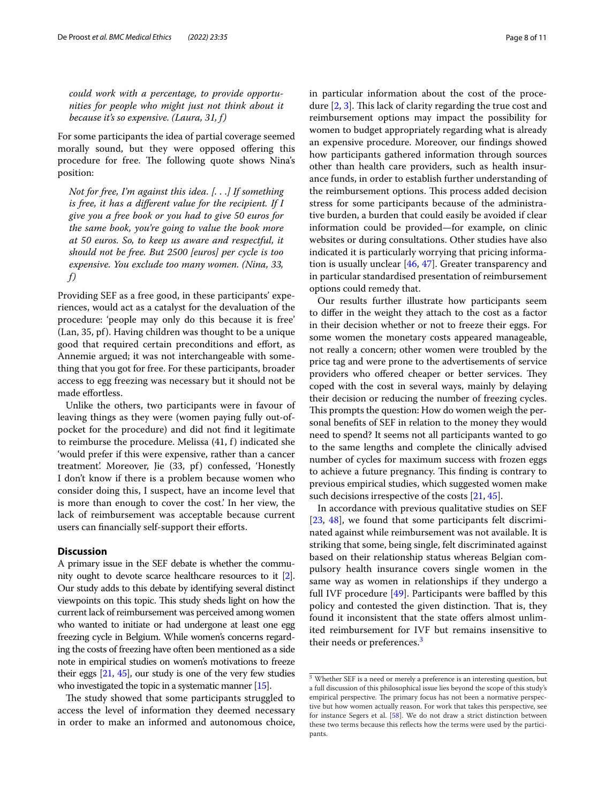*could work with a percentage, to provide opportunities for people who might just not think about it because it's so expensive. (Laura, 31, f)*

For some participants the idea of partial coverage seemed morally sound, but they were opposed offering this procedure for free. The following quote shows Nina's position:

*Not for free, I'm against this idea. [. . .] If something is free, it has a diferent value for the recipient. If I give you a free book or you had to give 50 euros for the same book, you're going to value the book more at 50 euros. So, to keep us aware and respectful, it should not be free. But 2500 [euros] per cycle is too expensive. You exclude too many women. (Nina, 33, f)*

Providing SEF as a free good, in these participants' experiences, would act as a catalyst for the devaluation of the procedure: 'people may only do this because it is free' (Lan, 35, pf). Having children was thought to be a unique good that required certain preconditions and efort, as Annemie argued; it was not interchangeable with something that you got for free. For these participants, broader access to egg freezing was necessary but it should not be made efortless.

Unlike the others, two participants were in favour of leaving things as they were (women paying fully out-ofpocket for the procedure) and did not fnd it legitimate to reimburse the procedure. Melissa (41, f) indicated she 'would prefer if this were expensive, rather than a cancer treatment'. Moreover, Jie (33, pf) confessed, 'Honestly I don't know if there is a problem because women who consider doing this, I suspect, have an income level that is more than enough to cover the cost.' In her view, the lack of reimbursement was acceptable because current users can financially self-support their efforts.

# **Discussion**

A primary issue in the SEF debate is whether the community ought to devote scarce healthcare resources to it [[2](#page-9-1)]. Our study adds to this debate by identifying several distinct viewpoints on this topic. This study sheds light on how the current lack of reimbursement was perceived among women who wanted to initiate or had undergone at least one egg freezing cycle in Belgium. While women's concerns regarding the costs of freezing have often been mentioned as a side note in empirical studies on women's motivations to freeze their eggs  $[21, 45]$  $[21, 45]$  $[21, 45]$ , our study is one of the very few studies who investigated the topic in a systematic manner [\[15](#page-9-14)].

The study showed that some participants struggled to access the level of information they deemed necessary in order to make an informed and autonomous choice, in particular information about the cost of the procedure  $[2, 3]$  $[2, 3]$  $[2, 3]$  $[2, 3]$ . This lack of clarity regarding the true cost and reimbursement options may impact the possibility for women to budget appropriately regarding what is already an expensive procedure. Moreover, our fndings showed how participants gathered information through sources other than health care providers, such as health insurance funds, in order to establish further understanding of the reimbursement options. This process added decision stress for some participants because of the administrative burden, a burden that could easily be avoided if clear information could be provided—for example, on clinic websites or during consultations. Other studies have also indicated it is particularly worrying that pricing information is usually unclear [[46,](#page-10-26) [47](#page-10-27)]. Greater transparency and in particular standardised presentation of reimbursement options could remedy that.

Our results further illustrate how participants seem to difer in the weight they attach to the cost as a factor in their decision whether or not to freeze their eggs. For some women the monetary costs appeared manageable, not really a concern; other women were troubled by the price tag and were prone to the advertisements of service providers who offered cheaper or better services. They coped with the cost in several ways, mainly by delaying their decision or reducing the number of freezing cycles. This prompts the question: How do women weigh the personal benefts of SEF in relation to the money they would need to spend? It seems not all participants wanted to go to the same lengths and complete the clinically advised number of cycles for maximum success with frozen eggs to achieve a future pregnancy. This finding is contrary to previous empirical studies, which suggested women make such decisions irrespective of the costs [\[21,](#page-10-2) [45\]](#page-10-25).

In accordance with previous qualitative studies on SEF [[23,](#page-10-3) [48\]](#page-10-28), we found that some participants felt discriminated against while reimbursement was not available. It is striking that some, being single, felt discriminated against based on their relationship status whereas Belgian compulsory health insurance covers single women in the same way as women in relationships if they undergo a full IVF procedure  $[49]$  $[49]$  $[49]$ . Participants were baffled by this policy and contested the given distinction. That is, they found it inconsistent that the state offers almost unlimited reimbursement for IVF but remains insensitive to their needs or preferences.<sup>3</sup>

<span id="page-7-0"></span> $^3$  Whether SEF is a need or merely a preference is an interesting question, but a full discussion of this philosophical issue lies beyond the scope of this study's empirical perspective. The primary focus has not been a normative perspective but how women actually reason. For work that takes this perspective, see for instance Segers et al. [\[58](#page-10-30)]. We do not draw a strict distinction between these two terms because this refects how the terms were used by the participants.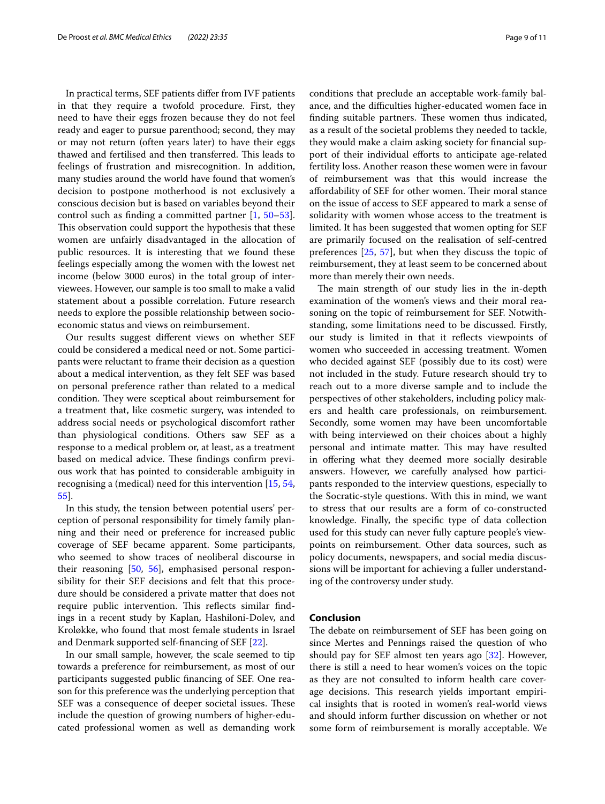In practical terms, SEF patients difer from IVF patients in that they require a twofold procedure. First, they need to have their eggs frozen because they do not feel ready and eager to pursue parenthood; second, they may or may not return (often years later) to have their eggs thawed and fertilised and then transferred. This leads to feelings of frustration and misrecognition. In addition, many studies around the world have found that women's decision to postpone motherhood is not exclusively a conscious decision but is based on variables beyond their control such as fnding a committed partner [[1,](#page-9-0) [50](#page-10-31)[–53](#page-10-32)]. This observation could support the hypothesis that these women are unfairly disadvantaged in the allocation of public resources. It is interesting that we found these feelings especially among the women with the lowest net income (below 3000 euros) in the total group of interviewees. However, our sample is too small to make a valid statement about a possible correlation. Future research needs to explore the possible relationship between socioeconomic status and views on reimbursement.

Our results suggest diferent views on whether SEF could be considered a medical need or not. Some participants were reluctant to frame their decision as a question about a medical intervention, as they felt SEF was based on personal preference rather than related to a medical condition. They were sceptical about reimbursement for a treatment that, like cosmetic surgery, was intended to address social needs or psychological discomfort rather than physiological conditions. Others saw SEF as a response to a medical problem or, at least, as a treatment based on medical advice. These findings confirm previous work that has pointed to considerable ambiguity in recognising a (medical) need for this intervention [\[15,](#page-9-14) [54](#page-10-33), [55\]](#page-10-13).

In this study, the tension between potential users' perception of personal responsibility for timely family planning and their need or preference for increased public coverage of SEF became apparent. Some participants, who seemed to show traces of neoliberal discourse in their reasoning [\[50,](#page-10-31) [56\]](#page-10-34), emphasised personal responsibility for their SEF decisions and felt that this procedure should be considered a private matter that does not require public intervention. This reflects similar findings in a recent study by Kaplan, Hashiloni-Dolev, and Kroløkke, who found that most female students in Israel and Denmark supported self-fnancing of SEF [[22](#page-10-1)].

In our small sample, however, the scale seemed to tip towards a preference for reimbursement, as most of our participants suggested public fnancing of SEF. One reason for this preference was the underlying perception that SEF was a consequence of deeper societal issues. These include the question of growing numbers of higher-educated professional women as well as demanding work conditions that preclude an acceptable work-family balance, and the difficulties higher-educated women face in finding suitable partners. These women thus indicated, as a result of the societal problems they needed to tackle, they would make a claim asking society for fnancial support of their individual efforts to anticipate age-related fertility loss. Another reason these women were in favour of reimbursement was that this would increase the affordability of SEF for other women. Their moral stance on the issue of access to SEF appeared to mark a sense of solidarity with women whose access to the treatment is limited. It has been suggested that women opting for SEF are primarily focused on the realisation of self-centred preferences [\[25](#page-10-5), [57\]](#page-10-35), but when they discuss the topic of reimbursement, they at least seem to be concerned about more than merely their own needs.

The main strength of our study lies in the in-depth examination of the women's views and their moral reasoning on the topic of reimbursement for SEF. Notwithstanding, some limitations need to be discussed. Firstly, our study is limited in that it refects viewpoints of women who succeeded in accessing treatment. Women who decided against SEF (possibly due to its cost) were not included in the study. Future research should try to reach out to a more diverse sample and to include the perspectives of other stakeholders, including policy makers and health care professionals, on reimbursement. Secondly, some women may have been uncomfortable with being interviewed on their choices about a highly personal and intimate matter. This may have resulted in offering what they deemed more socially desirable answers. However, we carefully analysed how participants responded to the interview questions, especially to the Socratic-style questions. With this in mind, we want to stress that our results are a form of co-constructed knowledge. Finally, the specifc type of data collection used for this study can never fully capture people's viewpoints on reimbursement. Other data sources, such as policy documents, newspapers, and social media discussions will be important for achieving a fuller understanding of the controversy under study.

#### **Conclusion**

The debate on reimbursement of SEF has been going on since Mertes and Pennings raised the question of who should pay for SEF almost ten years ago [\[32](#page-10-11)]. However, there is still a need to hear women's voices on the topic as they are not consulted to inform health care coverage decisions. This research yields important empirical insights that is rooted in women's real-world views and should inform further discussion on whether or not some form of reimbursement is morally acceptable. We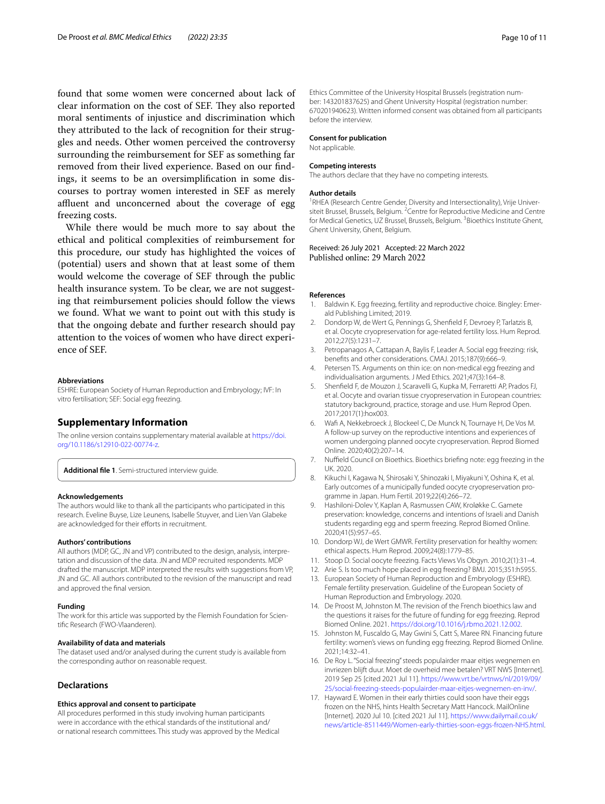found that some women were concerned about lack of clear information on the cost of SEF. They also reported moral sentiments of injustice and discrimination which they attributed to the lack of recognition for their struggles and needs. Other women perceived the controversy surrounding the reimbursement for SEF as something far removed from their lived experience. Based on our fndings, it seems to be an oversimplifcation in some discourses to portray women interested in SEF as merely affluent and unconcerned about the coverage of egg freezing costs.

While there would be much more to say about the ethical and political complexities of reimbursement for this procedure, our study has highlighted the voices of (potential) users and shown that at least some of them would welcome the coverage of SEF through the public health insurance system. To be clear, we are not suggesting that reimbursement policies should follow the views we found. What we want to point out with this study is that the ongoing debate and further research should pay attention to the voices of women who have direct experience of SEF.

#### **Abbreviations**

ESHRE: European Society of Human Reproduction and Embryology; IVF: In vitro fertilisation; SEF: Social egg freezing.

#### **Supplementary Information**

The online version contains supplementary material available at [https://doi.](https://doi.org/10.1186/s12910-022-00774-z) [org/10.1186/s12910-022-00774-z.](https://doi.org/10.1186/s12910-022-00774-z)

<span id="page-9-17"></span>**Additional fle 1**. Semi-structured interview guide.

#### **Acknowledgements**

The authors would like to thank all the participants who participated in this research. Eveline Buyse, Lize Leunens, Isabelle Stuyver, and Lien Van Glabeke are acknowledged for their efforts in recruitment.

#### **Authors' contributions**

All authors (MDP, GC, JN and VP) contributed to the design, analysis, interpretation and discussion of the data. JN and MDP recruited respondents. MDP drafted the manuscript. MDP interpreted the results with suggestions from VP, JN and GC. All authors contributed to the revision of the manuscript and read and approved the fnal version.

#### **Funding**

The work for this article was supported by the Flemish Foundation for Scientifc Research (FWO-Vlaanderen).

#### **Availability of data and materials**

The dataset used and/or analysed during the current study is available from the corresponding author on reasonable request.

#### **Declarations**

#### **Ethics approval and consent to participate**

All procedures performed in this study involving human participants were in accordance with the ethical standards of the institutional and/ or national research committees. This study was approved by the Medical Ethics Committee of the University Hospital Brussels (registration number: 143201837625) and Ghent University Hospital (registration number: 670201940623). Written informed consent was obtained from all participants before the interview.

#### **Consent for publication**

Not applicable.

#### **Competing interests**

The authors declare that they have no competing interests.

#### **Author details**

<sup>1</sup>RHEA (Research Centre Gender, Diversity and Intersectionality), Vrije Universiteit Brussel, Brussels, Belgium. <sup>2</sup> Centre for Reproductive Medicine and Centre for Medical Genetics, UZ Brussel, Brussels, Belgium. <sup>3</sup> Bioethics Institute Ghent, Ghent University, Ghent, Belgium.

#### Received: 26 July 2021 Accepted: 22 March 2022 Published online: 29 March 2022

#### **References**

- <span id="page-9-0"></span>1. Baldwin K. Egg freezing, fertility and reproductive choice. Bingley: Emerald Publishing Limited; 2019.
- <span id="page-9-1"></span>2. Dondorp W, de Wert G, Pennings G, Shenfeld F, Devroey P, Tarlatzis B, et al. Oocyte cryopreservation for age-related fertility loss. Hum Reprod. 2012;27(5):1231–7.
- <span id="page-9-2"></span>3. Petropanagos A, Cattapan A, Baylis F, Leader A. Social egg freezing: risk, benefts and other considerations. CMAJ. 2015;187(9):666–9.
- <span id="page-9-3"></span>4. Petersen TS. Arguments on thin ice: on non-medical egg freezing and individualisation arguments. J Med Ethics. 2021;47(3):164–8.
- <span id="page-9-4"></span>5. Shenfeld F, de Mouzon J, Scaravelli G, Kupka M, Ferraretti AP, Prados FJ, et al. Oocyte and ovarian tissue cryopreservation in European countries: statutory background, practice, storage and use. Hum Reprod Open. 2017;2017(1):hox003.
- <span id="page-9-5"></span>6. Waf A, Nekkebroeck J, Blockeel C, De Munck N, Tournaye H, De Vos M. A follow-up survey on the reproductive intentions and experiences of women undergoing planned oocyte cryopreservation. Reprod Biomed Online. 2020;40(2):207–14.
- <span id="page-9-6"></span>7. Nuffield Council on Bioethics. Bioethics briefing note: egg freezing in the UK. 2020.
- <span id="page-9-7"></span>8. Kikuchi I, Kagawa N, Shirosaki Y, Shinozaki I, Miyakuni Y, Oshina K, et al. Early outcomes of a municipally funded oocyte cryopreservation programme in Japan. Hum Fertil. 2019;22(4):266–72.
- <span id="page-9-8"></span>9. Hashiloni-Dolev Y, Kaplan A, Rasmussen CAW, Kroløkke C. Gamete preservation: knowledge, concerns and intentions of Israeli and Danish students regarding egg and sperm freezing. Reprod Biomed Online. 2020;41(5):957–65.
- <span id="page-9-9"></span>10. Dondorp WJ, de Wert GMWR. Fertility preservation for healthy women: ethical aspects. Hum Reprod. 2009;24(8):1779–85.
- <span id="page-9-10"></span>11. Stoop D. Social oocyte freezing. Facts Views Vis Obgyn. 2010;2(1):31–4.
- <span id="page-9-11"></span>12. Arie S. Is too much hope placed in egg freezing? BMJ. 2015;351:h5955.
- <span id="page-9-12"></span>13. European Society of Human Reproduction and Embryology (ESHRE). Female fertility preservation. Guideline of the European Society of Human Reproduction and Embryology. 2020.
- <span id="page-9-13"></span>14. De Proost M, Johnston M. The revision of the French bioethics law and the questions it raises for the future of funding for egg freezing. Reprod Biomed Online. 2021. [https://doi.org/10.1016/j.rbmo.2021.12.002.](https://doi.org/10.1016/j.rbmo.2021.12.002)
- <span id="page-9-14"></span>15. Johnston M, Fuscaldo G, May Gwini S, Catt S, Maree RN. Financing future fertility: women's views on funding egg freezing. Reprod Biomed Online. 2021;14:32–41.
- <span id="page-9-15"></span>16. De Roy L. "Social freezing" steeds populairder maar eitjes wegnemen en invriezen blijft duur. Moet de overheid mee betalen? VRT NWS [Internet]. 2019 Sep 25 [cited 2021 Jul 11]. [https://www.vrt.be/vrtnws/nl/2019/09/](https://www.vrt.be/vrtnws/nl/2019/09/25/social-freezing-steeds-populairder-maar-eitjes-wegnemen-en-inv/) [25/social-freezing-steeds-populairder-maar-eitjes-wegnemen-en-inv/.](https://www.vrt.be/vrtnws/nl/2019/09/25/social-freezing-steeds-populairder-maar-eitjes-wegnemen-en-inv/)
- <span id="page-9-16"></span>17. Hayward E. Women in their early thirties could soon have their eggs frozen on the NHS, hints Health Secretary Matt Hancock. MailOnline [Internet]. 2020 Jul 10. [cited 2021 Jul 11]. [https://www.dailymail.co.uk/](https://www.dailymail.co.uk/news/article-8511449/Women-early-thirties-soon-eggs-frozen-NHS.html) [news/article-8511449/Women-early-thirties-soon-eggs-frozen-NHS.html.](https://www.dailymail.co.uk/news/article-8511449/Women-early-thirties-soon-eggs-frozen-NHS.html)